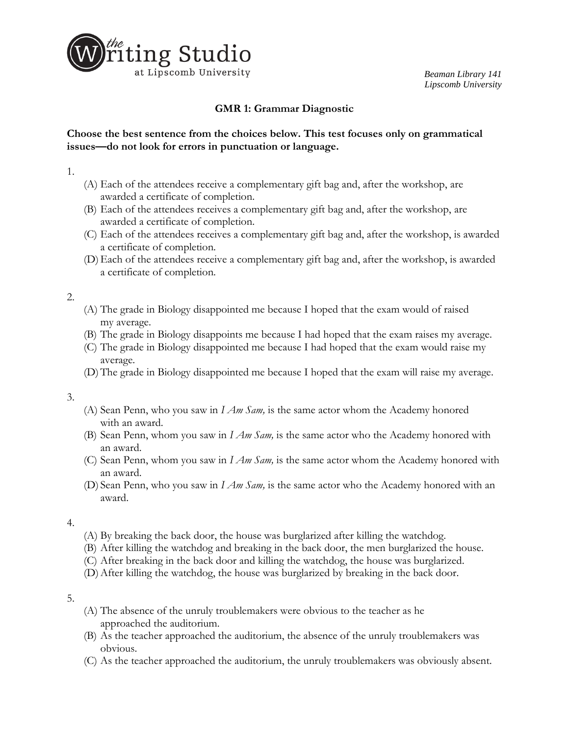

# **GMR 1: Grammar Diagnostic**

# **Choose the best sentence from the choices below. This test focuses only on grammatical issues—do not look for errors in punctuation or language.**

1.

- (A) Each of the attendees receive a complementary gift bag and, after the workshop, are awarded a certificate of completion.
- (B) Each of the attendees receives a complementary gift bag and, after the workshop, are awarded a certificate of completion.
- (C) Each of the attendees receives a complementary gift bag and, after the workshop, is awarded a certificate of completion.
- (D)Each of the attendees receive a complementary gift bag and, after the workshop, is awarded a certificate of completion.

2.

- (A) The grade in Biology disappointed me because I hoped that the exam would of raised my average.
- (B) The grade in Biology disappoints me because I had hoped that the exam raises my average.
- (C) The grade in Biology disappointed me because I had hoped that the exam would raise my average.
- (D)The grade in Biology disappointed me because I hoped that the exam will raise my average.

3.

- (A) Sean Penn, who you saw in *I Am Sam,* is the same actor whom the Academy honored with an award.
- (B) Sean Penn, whom you saw in *I Am Sam,* is the same actor who the Academy honored with an award.
- (C) Sean Penn, whom you saw in *I Am Sam,* is the same actor whom the Academy honored with an award.
- (D) Sean Penn, who you saw in *I Am Sam,* is the same actor who the Academy honored with an award.

4.

- (A) By breaking the back door, the house was burglarized after killing the watchdog.
- (B) After killing the watchdog and breaking in the back door, the men burglarized the house.
- (C) After breaking in the back door and killing the watchdog, the house was burglarized.
- (D)After killing the watchdog, the house was burglarized by breaking in the back door.

5.

- (A) The absence of the unruly troublemakers were obvious to the teacher as he approached the auditorium.
- (B) As the teacher approached the auditorium, the absence of the unruly troublemakers was obvious.
- (C) As the teacher approached the auditorium, the unruly troublemakers was obviously absent.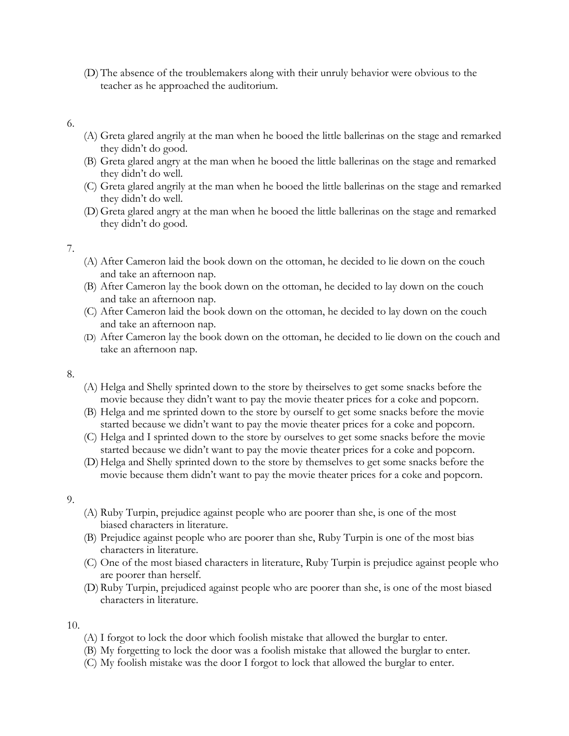(D)The absence of the troublemakers along with their unruly behavior were obvious to the teacher as he approached the auditorium.

#### 6.

- (A) Greta glared angrily at the man when he booed the little ballerinas on the stage and remarked they didn't do good.
- (B) Greta glared angry at the man when he booed the little ballerinas on the stage and remarked they didn't do well.
- (C) Greta glared angrily at the man when he booed the little ballerinas on the stage and remarked they didn't do well.
- (D)Greta glared angry at the man when he booed the little ballerinas on the stage and remarked they didn't do good.

### 7.

- (A) After Cameron laid the book down on the ottoman, he decided to lie down on the couch and take an afternoon nap.
- (B) After Cameron lay the book down on the ottoman, he decided to lay down on the couch and take an afternoon nap.
- (C) After Cameron laid the book down on the ottoman, he decided to lay down on the couch and take an afternoon nap.
- (D) After Cameron lay the book down on the ottoman, he decided to lie down on the couch and take an afternoon nap.

#### 8.

- (A) Helga and Shelly sprinted down to the store by theirselves to get some snacks before the movie because they didn't want to pay the movie theater prices for a coke and popcorn.
- (B) Helga and me sprinted down to the store by ourself to get some snacks before the movie started because we didn't want to pay the movie theater prices for a coke and popcorn.
- (C) Helga and I sprinted down to the store by ourselves to get some snacks before the movie started because we didn't want to pay the movie theater prices for a coke and popcorn.
- (D)Helga and Shelly sprinted down to the store by themselves to get some snacks before the movie because them didn't want to pay the movie theater prices for a coke and popcorn.

#### 9.

- (A) Ruby Turpin, prejudice against people who are poorer than she, is one of the most biased characters in literature.
- (B) Prejudice against people who are poorer than she, Ruby Turpin is one of the most bias characters in literature.
- (C) One of the most biased characters in literature, Ruby Turpin is prejudice against people who are poorer than herself.
- (D)Ruby Turpin, prejudiced against people who are poorer than she, is one of the most biased characters in literature.

10.

- (A) I forgot to lock the door which foolish mistake that allowed the burglar to enter.
- (B) My forgetting to lock the door was a foolish mistake that allowed the burglar to enter.
- (C) My foolish mistake was the door I forgot to lock that allowed the burglar to enter.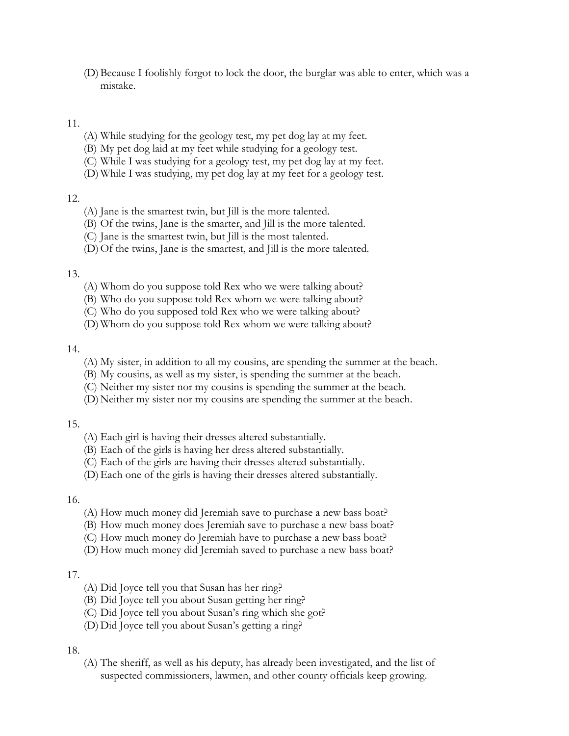(D)Because I foolishly forgot to lock the door, the burglar was able to enter, which was a mistake.

### 11.

- (A) While studying for the geology test, my pet dog lay at my feet.
- (B) My pet dog laid at my feet while studying for a geology test.
- (C) While I was studying for a geology test, my pet dog lay at my feet.
- (D) While I was studying, my pet dog lay at my feet for a geology test.

### 12.

- (A) Jane is the smartest twin, but Jill is the more talented.
- (B) Of the twins, Jane is the smarter, and Jill is the more talented.
- (C) Jane is the smartest twin, but Jill is the most talented.
- (D)Of the twins, Jane is the smartest, and Jill is the more talented.

### 13.

- (A) Whom do you suppose told Rex who we were talking about?
- (B) Who do you suppose told Rex whom we were talking about?
- (C) Who do you supposed told Rex who we were talking about?
- (D) Whom do you suppose told Rex whom we were talking about?

### 14.

- (A) My sister, in addition to all my cousins, are spending the summer at the beach.
- (B) My cousins, as well as my sister, is spending the summer at the beach.
- (C) Neither my sister nor my cousins is spending the summer at the beach.
- (D) Neither my sister nor my cousins are spending the summer at the beach.

### 15.

- (A) Each girl is having their dresses altered substantially.
- (B) Each of the girls is having her dress altered substantially.
- (C) Each of the girls are having their dresses altered substantially.
- (D)Each one of the girls is having their dresses altered substantially.

### 16.

- (A) How much money did Jeremiah save to purchase a new bass boat?
- (B) How much money does Jeremiah save to purchase a new bass boat?
- (C) How much money do Jeremiah have to purchase a new bass boat?
- (D) How much money did Jeremiah saved to purchase a new bass boat?

# 17.

- (A) Did Joyce tell you that Susan has her ring?
- (B) Did Joyce tell you about Susan getting her ring?
- (C) Did Joyce tell you about Susan's ring which she got?
- (D) Did Joyce tell you about Susan's getting a ring?

# 18.

(A) The sheriff, as well as his deputy, has already been investigated, and the list of suspected commissioners, lawmen, and other county officials keep growing.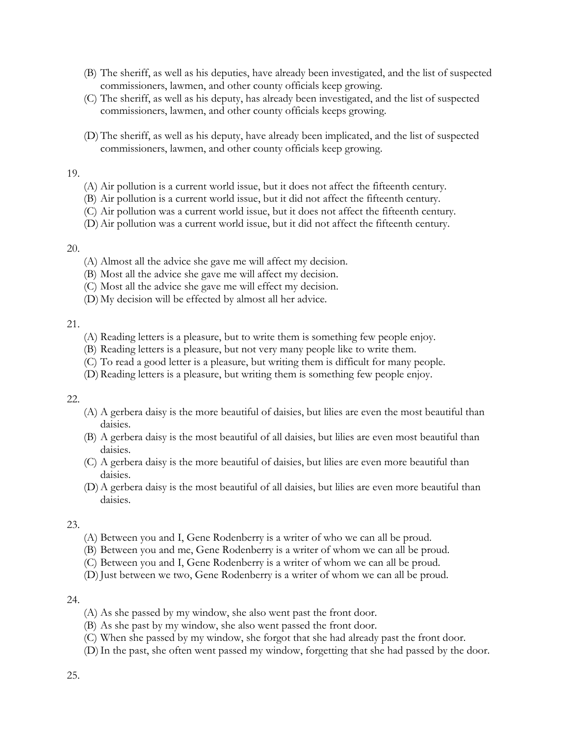- (B) The sheriff, as well as his deputies, have already been investigated, and the list of suspected commissioners, lawmen, and other county officials keep growing.
- (C) The sheriff, as well as his deputy, has already been investigated, and the list of suspected commissioners, lawmen, and other county officials keeps growing.
- (D)The sheriff, as well as his deputy, have already been implicated, and the list of suspected commissioners, lawmen, and other county officials keep growing.

### 19.

- (A) Air pollution is a current world issue, but it does not affect the fifteenth century.
- (B) Air pollution is a current world issue, but it did not affect the fifteenth century.
- (C) Air pollution was a current world issue, but it does not affect the fifteenth century.
- (D)Air pollution was a current world issue, but it did not affect the fifteenth century.

### 20.

- (A) Almost all the advice she gave me will affect my decision.
- (B) Most all the advice she gave me will affect my decision.
- (C) Most all the advice she gave me will effect my decision.
- (D) My decision will be effected by almost all her advice.

### 21.

- (A) Reading letters is a pleasure, but to write them is something few people enjoy.
- (B) Reading letters is a pleasure, but not very many people like to write them.
- (C) To read a good letter is a pleasure, but writing them is difficult for many people.
- (D)Reading letters is a pleasure, but writing them is something few people enjoy.

# 22.

- (A) A gerbera daisy is the more beautiful of daisies, but lilies are even the most beautiful than daisies.
- (B) A gerbera daisy is the most beautiful of all daisies, but lilies are even most beautiful than daisies.
- (C) A gerbera daisy is the more beautiful of daisies, but lilies are even more beautiful than daisies.
- (D)A gerbera daisy is the most beautiful of all daisies, but lilies are even more beautiful than daisies.

### 23.

- (A) Between you and I, Gene Rodenberry is a writer of who we can all be proud.
- (B) Between you and me, Gene Rodenberry is a writer of whom we can all be proud.
- (C) Between you and I, Gene Rodenberry is a writer of whom we can all be proud.
- (D) Just between we two, Gene Rodenberry is a writer of whom we can all be proud.

# 24.

- (A) As she passed by my window, she also went past the front door.
- (B) As she past by my window, she also went passed the front door.
- (C) When she passed by my window, she forgot that she had already past the front door.
- (D)In the past, she often went passed my window, forgetting that she had passed by the door.